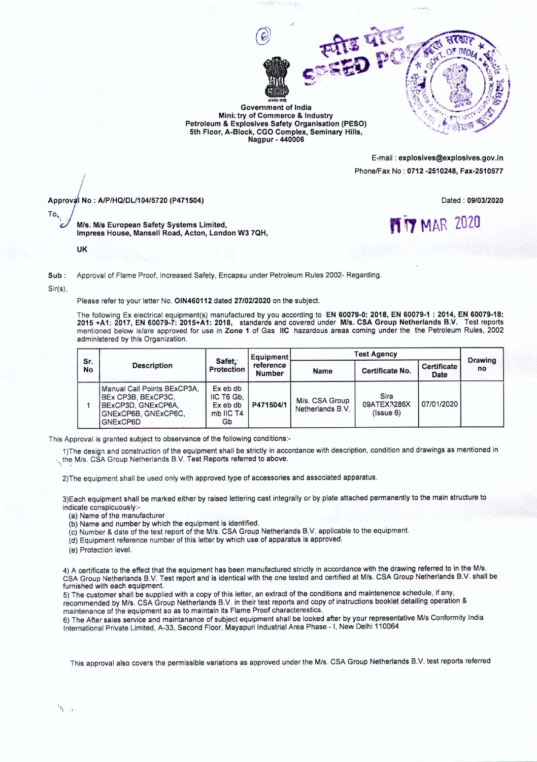

Government of India Minictry of Commerce & Industry Petroleum & Explosives Safety Organisation (PESO) 5th Floor, A-Block, CGO Complex, Seminary Hills, Nagpur - 440006

> E-mail: explosives@explosives.gov.in Phone/Fax No: 0712 -2510248, Fax-2510577

> > **MY MAR 2020**

*=:*<sup>I</sup> No: *A/P/HQ1DLl104/5720* (P471504)

Dated: *09/03/2020*

Mis. Mis European Safety Systems Limited, Impress House, Mansell Road, Acton, London W3 7QH,

UK

Sub: Approval of Flame Proof, Increased Safety, Encapsu under Petroleum Rules 2002- Regarding,

Sir(s),

 $\mathbf{r}$ 

'' "

To,  $\mathbf{L}$ 

Please refer to your letter No. OlN460112 dated *27/02/2020* on the subject.

The following Ex electrical equipment(s) manufactured by you according to EN 60079-0: 2018, EN 60079-1: 2014, EN 60079-18: 2015 +A1: 2017, EN 60079-7: 2015+A1: 2018, standards and covered under Mis. CSA Group Netherlands B.V. Test reports mentioned below is/are approved for use in Zone 1 of Gas IIC hazardous areas coming under the the Petroleum Rules, 2002 administered by this Organization,

| Sr.<br>No | <b>Description</b>                                                                                         | Safet:<br>Protection                                  | Equipment<br>reference<br><b>Number</b> | <b>Test Agency</b>                 |                                          |                            |                      |
|-----------|------------------------------------------------------------------------------------------------------------|-------------------------------------------------------|-----------------------------------------|------------------------------------|------------------------------------------|----------------------------|----------------------|
|           |                                                                                                            |                                                       |                                         | Name                               | Certificate No.                          | <b>Certificate</b><br>Date | <b>Drawing</b><br>no |
|           | Manual Call Points BExCP3A,<br>BEx CP3B, BExCP3C.<br>BExCP3D, GNExCP6A,<br>GNExCP6B, GNExCP6C,<br>GNExCP6D | Ex eb db<br>IIC T6 Gb.<br>Ex eb db<br>mb IIC T4<br>Gb | P471504/1                               | M/s. CSA Group<br>Netherlands B.V. | Sira<br>09ATEX3286X<br>$($ ( $ $ ssue 6) | 07/01/2020                 |                      |

This Approval is granted subject to observance of the following conditions:-

1)The design and construction of the equipment shall be strictly in accordance with description, condition and drawings as mentioned in the M/s. CSA Group Netherlands B.V. Test Reports referred to above.

2)The equipment shall be used only with approved type of accessories and associated apparatus.

3)Each equipment shall be marked either by raised lettering cast integrally or by plate attached permanently to the main structure to indicate conspicuously:-

(a) Name of the manufacturer

- (b) Name and number by which the equipment is identified,
- (c) Number & date of the test report of the Mis. CSA Group Netherlands BY applicable to the equipment.
- (d) Equipment reference number of this letter by which use of apparatus is approved,
- *(e)* Protection level.

4) A certificate to the effect that the equipment has been manufactured strictly in accordance with the drawing referred to in the M/s. CSA Group Netherlands B.V. Test report and is identical with the one tested and certified at M/s. CSA Group Netherlands B.V. shall be furnished with each equipment.

5) The customer shall be supplied with a copy of this letter, an extract of the conditions and maintenence schedule, if any, recommended by M/s. CSA Group Netherlands B.V. in their test reports and copy of instructions booklet detailing operation & maintenance of the equipment so as to maintain its Flame Proof characterestics.

6) The After sales service and maintanance of subject equipment shall be looked after by your representative Mis Conformity India International Private Limited, A-33, Second Floor, Mayapuri Industrial Area Phase - I, New Delhi 110064

This approval also covers the permissible variations as approved under the M/s. CSA Group Netherlands B.V. test reports referred